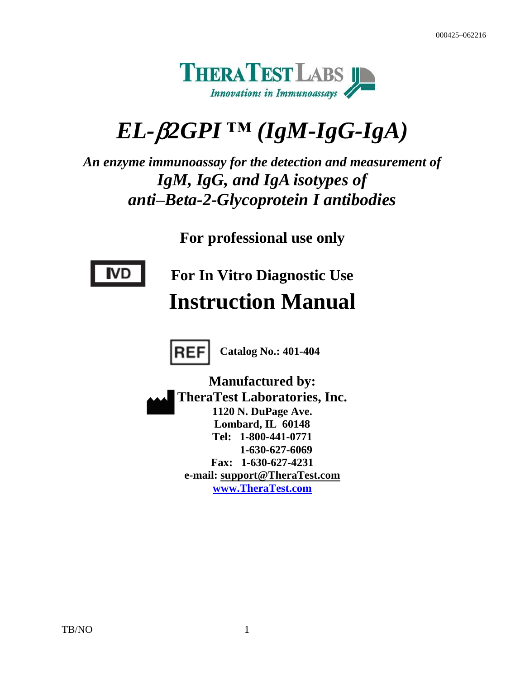

# *EL-2GPI ™ (IgM-IgG-IgA)*

*An enzyme immunoassay for the detection and measurement of IgM, IgG, and IgA isotypes of anti–Beta-2-Glycoprotein I antibodies*

**For professional use only**



**For In Vitro Diagnostic Use Instruction Manual**



**Catalog No.: 401-404**

**Manufactured by: TheraTest Laboratories, Inc. 1120 N. DuPage Ave. Lombard, IL 60148 Tel: 1-800-441-0771 1-630-627-6069 Fax: 1-630-627-4231 e-mail: support@TheraTest.com [www.TheraTest.com](http://www.theratest.com/)**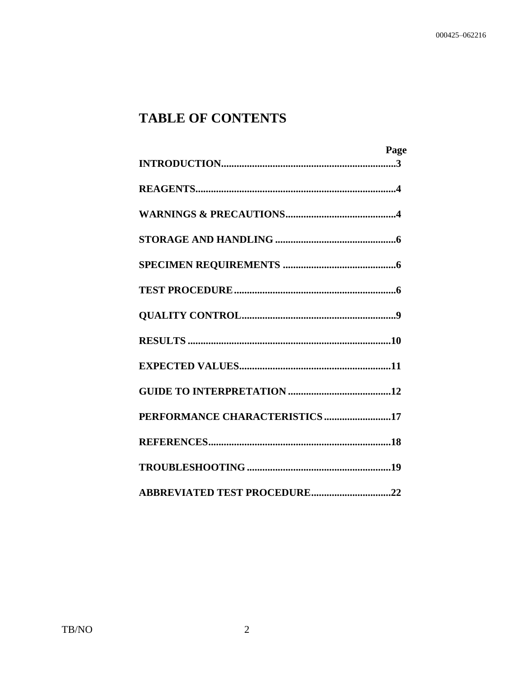## **TABLE OF CONTENTS**

|                                | Page |
|--------------------------------|------|
|                                |      |
|                                |      |
|                                |      |
|                                |      |
|                                |      |
|                                |      |
|                                |      |
|                                |      |
|                                |      |
|                                |      |
| PERFORMANCE CHARACTERISTICS 17 |      |
|                                |      |
|                                |      |
|                                |      |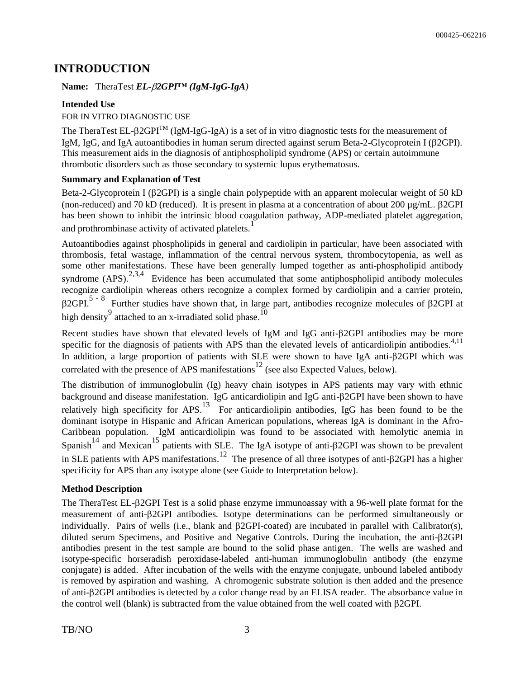## **INTRODUCTION**

#### **Name:** TheraTest *EL-2GPI™ (IgM-IgG-IgA)*

#### **Intended Use**

#### FOR IN VITRO DIAGNOSTIC USE

The TheraTest EL- $\beta$ 2GPI<sup>TM</sup> (IgM-IgG-IgA) is a set of in vitro diagnostic tests for the measurement of IgM, IgG, and IgA autoantibodies in human serum directed against serum Beta-2-Glycoprotein I ( $\beta$ 2GPI). This measurement aids in the diagnosis of antiphospholipid syndrome (APS) or certain autoimmune thrombotic disorders such as those secondary to systemic lupus erythematosus.

#### **Summary and Explanation of Test**

Beta-2-Glycoprotein I ( $\beta$ 2GPI) is a single chain polypeptide with an apparent molecular weight of 50 kD (non-reduced) and 70 kD (reduced). It is present in plasma at a concentration of about 200  $\mu$ g/mL.  $\beta$ 2GPI has been shown to inhibit the intrinsic blood coagulation pathway, ADP-mediated platelet aggregation, and prothrombinase activity of activated platelets.<sup>1</sup>

Autoantibodies against phospholipids in general and cardiolipin in particular, have been associated with thrombosis, fetal wastage, inflammation of the central nervous system, thrombocytopenia, as well as some other manifestations. These have been generally lumped together as anti-phospholipid antibody syndrome  $(APS).^{2,3,4}$  Evidence has been accumulated that some antiphospholipid antibody molecules recognize cardiolipin whereas others recognize a complex formed by cardiolipin and a carrier protein,  $\beta$ 2GPI.<sup>5 - 8</sup> Further studies have shown that, in large part, antibodies recognize molecules of  $\beta$ 2GPI at high density attached to an x-irradiated solid phase.<sup>10</sup>

Recent studies have shown that elevated levels of IgM and IgG anti- $\beta$ 2GPI antibodies may be more specific for the diagnosis of patients with APS than the elevated levels of anticardiolipin antibodies. $4,11$ In addition, a large proportion of patients with SLE were shown to have IgA anti- $\beta$ 2GPI which was correlated with the presence of APS manifestations <sup>12</sup> (see also Expected Values, below).

The distribution of immunoglobulin (Ig) heavy chain isotypes in APS patients may vary with ethnic background and disease manifestation. IgG anticardiolipin and IgG anti- $\beta$ 2GPI have been shown to have relatively high specificity for APS.<sup>13</sup> For anticardiolipin antibodies, IgG has been found to be the dominant isotype in Hispanic and African American populations, whereas IgA is dominant in the Afro-Caribbean population. IgM anticardiolipin was found to be associated with hemolytic anemia in Spanish<sup>14</sup> and Mexican<sup>15</sup> patients with SLE. The IgA isotype of anti- $\beta$ 2GPI was shown to be prevalent in SLE patients with APS manifestations.<sup>12</sup> The presence of all three isotypes of anti- $\beta$ 2GPI has a higher specificity for APS than any isotype alone (see Guide to Interpretation below).

#### **Method Description**

The TheraTest EL- $\beta$ 2GPI Test is a solid phase enzyme immunoassay with a 96-well plate format for the measurement of anti-2GPI antibodies. Isotype determinations can be performed simultaneously or individually. Pairs of wells (i.e., blank and 2GPI-coated) are incubated in parallel with Calibrator(s), diluted serum Specimens, and Positive and Negative Controls. During the incubation, the anti- $\beta$ 2GPI antibodies present in the test sample are bound to the solid phase antigen. The wells are washed and isotype-specific horseradish peroxidase-labeled anti-human immunoglobulin antibody (the enzyme conjugate) is added. After incubation of the wells with the enzyme conjugate, unbound labeled antibody is removed by aspiration and washing. A chromogenic substrate solution is then added and the presence of anti-2GPI antibodies is detected by a color change read by an ELISA reader. The absorbance value in the control well (blank) is subtracted from the value obtained from the well coated with  $\beta$ 2GPI.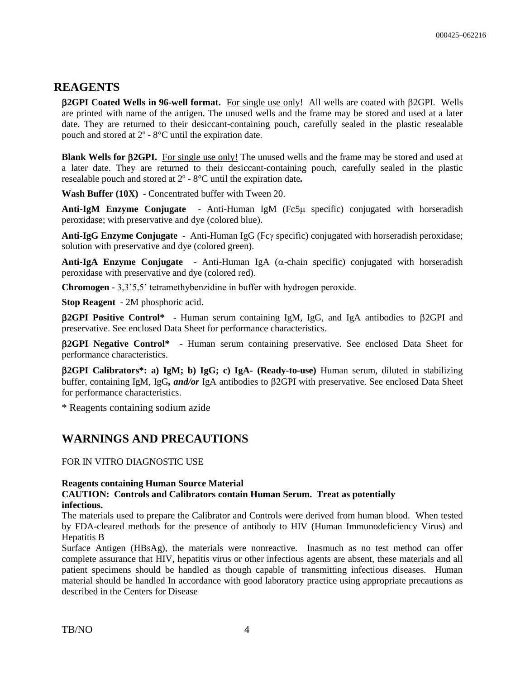### **REAGENTS**

**2GPI Coated Wells in 96-well format.** For single use only! All wells are coated with 2GPI. Wells are printed with name of the antigen. The unused wells and the frame may be stored and used at a later date. They are returned to their desiccant-containing pouch, carefully sealed in the plastic resealable pouch and stored at 2º - 8°C until the expiration date.

**Blank Wells for**  $\beta$ **2GPI.** For single use only! The unused wells and the frame may be stored and used at a later date. They are returned to their desiccant-containing pouch, carefully sealed in the plastic resealable pouch and stored at 2º - 8°C until the expiration date*.*

**Wash Buffer (10X)**- Concentrated buffer with Tween 20.

**Anti-IgM Enzyme Conjugate** - Anti-Human IgM (Fc5µ specific) conjugated with horseradish peroxidase; with preservative and dye (colored blue).

Anti-IgG Enzyme Conjugate - Anti-Human IgG (Fcy specific) conjugated with horseradish peroxidase; solution with preservative and dye (colored green).

**Anti-IgA Enzyme Conjugate** - Anti-Human IgA  $(\alpha$ -chain specific) conjugated with horseradish peroxidase with preservative and dye (colored red).

**Chromogen** - 3,3'5,5' tetramethybenzidine in buffer with hydrogen peroxide.

**Stop Reagent** - 2M phosphoric acid.

 $\beta$ **2GPI Positive Control<sup>\*</sup>** - Human serum containing IgM, IgG, and IgA antibodies to  $\beta$ 2GPI and preservative. See enclosed Data Sheet for performance characteristics.

**2GPI Negative Control\*** - Human serum containing preservative. See enclosed Data Sheet for performance characteristics.

**2GPI Calibrators\*: a) IgM; b) IgG; c) IgA***-* **(Ready-to-use)** Human serum, diluted in stabilizing buffer, containing IgM, IgG*, and/or* IgA antibodies to 2GPI with preservative. See enclosed Data Sheet for performance characteristics.

\* Reagents containing sodium azide

## **WARNINGS AND PRECAUTIONS**

FOR IN VITRO DIAGNOSTIC USE

#### **Reagents containing Human Source Material**

#### **CAUTION: Controls and Calibrators contain Human Serum. Treat as potentially infectious.**

The materials used to prepare the Calibrator and Controls were derived from human blood. When tested by FDA-cleared methods for the presence of antibody to HIV (Human Immunodeficiency Virus) and Hepatitis B

Surface Antigen (HBsAg), the materials were nonreactive. Inasmuch as no test method can offer complete assurance that HIV, hepatitis virus or other infectious agents are absent, these materials and all patient specimens should be handled as though capable of transmitting infectious diseases. Human material should be handled In accordance with good laboratory practice using appropriate precautions as described in the Centers for Disease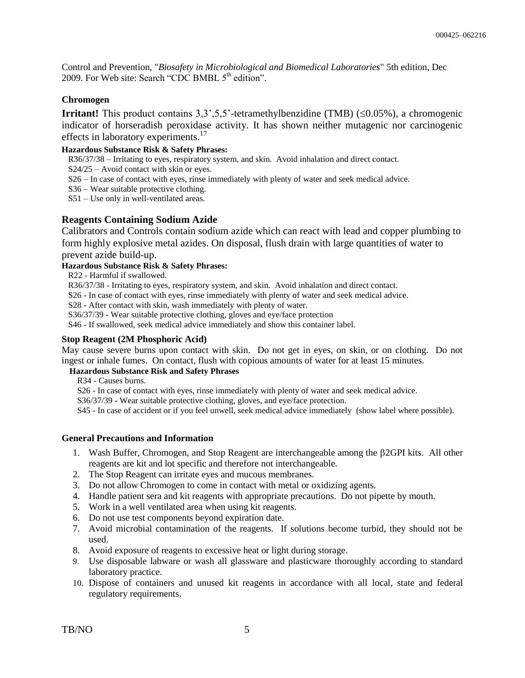Control and Prevention, "*Biosafety in Microbiological and Biomedical Laboratories*" 5th edition, Dec 2009. For Web site: Search "CDC BMBL  $5<sup>th</sup>$  edition".

#### **Chromogen**

**Irritant!** This product contains  $3,3,5,5$ <sup>2</sup>-tetramethylbenzidine (TMB) ( $\leq 0.05\%$ ), a chromogenic indicator of horseradish peroxidase activity. It has shown neither mutagenic nor carcinogenic effects in laboratory experiments.<sup>17</sup>

#### **Hazardous Substance Risk & Safety Phrases:**

R36/37/38 – Irritating to eyes, respiratory system, and skin. Avoid inhalation and direct contact.

S24/25 – Avoid contact with skin or eyes.

- S26 In case of contact with eyes, rinse immediately with plenty of water and seek medical advice.
- S36 Wear suitable protective clothing.
- S51 Use only in well-ventilated areas.

#### **Reagents Containing Sodium Azide**

Calibrators and Controls contain sodium azide which can react with lead and copper plumbing to form highly explosive metal azides. On disposal, flush drain with large quantities of water to prevent azide build-up.

#### **Hazardous Substance Risk & Safety Phrases:**

R22 - Harmful if swallowed.

R36/37/38 - Irritating to eyes, respiratory system, and skin. Avoid inhalation and direct contact.

S26 - In case of contact with eyes, rinse immediately with plenty of water and seek medical advice.

S28 - After contact with skin, wash immediately with plenty of water.

S36/37/39 - Wear suitable protective clothing, gloves and eye/face protection

S46 - If swallowed, seek medical advice immediately and show this container label.

#### **Stop Reagent (2M Phosphoric Acid)**

May cause severe burns upon contact with skin. Do not get in eyes, on skin, or on clothing. Do not ingest or inhale fumes. On contact, flush with copious amounts of water for at least 15 minutes.

#### **Hazardous Substance Risk and Safety Phrases**

R34 - Causes burns.

S26 - In case of contact with eyes, rinse immediately with plenty of water and seek medical advice.

S36/37/39 - Wear suitable protective clothing, gloves, and eye/face protection.

S45 - In case of accident or if you feel unwell, seek medical advice immediately (show label where possible).

#### **General Precautions and Information**

- 1. Wash Buffer, Chromogen, and Stop Reagent are interchangeable among the 2GPI kits. All other reagents are kit and lot specific and therefore not interchangeable.
- 2. The Stop Reagent can irritate eyes and mucous membranes.
- 3. Do not allow Chromogen to come in contact with metal or oxidizing agents.
- 4. Handle patient sera and kit reagents with appropriate precautions. Do not pipette by mouth.
- 5. Work in a well ventilated area when using kit reagents.
- 6. Do not use test components beyond expiration date.
- 7. Avoid microbial contamination of the reagents. If solutions become turbid, they should not be used.
- 8. Avoid exposure of reagents to excessive heat or light during storage.
- 9. Use disposable labware or wash all glassware and plasticware thoroughly according to standard laboratory practice.
- 10. Dispose of containers and unused kit reagents in accordance with all local, state and federal regulatory requirements.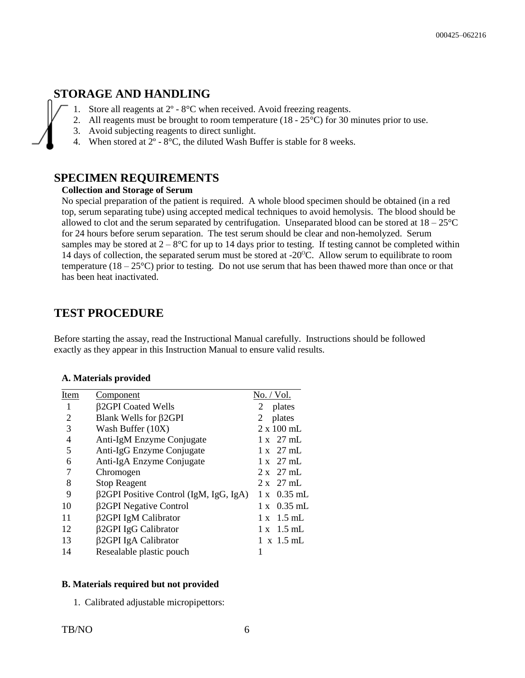## **STORAGE AND HANDLING**

- 1. Store all reagents at  $2^{\circ}$   $8^{\circ}$ C when received. Avoid freezing reagents.<br>2. All reagents must be brought to room temperature (18  $25^{\circ}$ C) for 30 is
- All reagents must be brought to room temperature (18 25<sup>o</sup>C) for 30 minutes prior to use.
- 3. Avoid subjecting reagents to direct sunlight.
- 4. When stored at  $2^{\circ}$   $8^{\circ}$ C, the diluted Wash Buffer is stable for 8 weeks.

### **SPECIMEN REQUIREMENTS**

#### **Collection and Storage of Serum**

No special preparation of the patient is required. A whole blood specimen should be obtained (in a red top, serum separating tube) using accepted medical techniques to avoid hemolysis. The blood should be allowed to clot and the serum separated by centrifugation. Unseparated blood can be stored at  $18-25^{\circ}\text{C}$ for 24 hours before serum separation. The test serum should be clear and non-hemolyzed. Serum samples may be stored at  $2 - 8^{\circ}C$  for up to 14 days prior to testing. If testing cannot be completed within 14 days of collection, the separated serum must be stored at  $-20^{\circ}$ C. Allow serum to equilibrate to room temperature  $(18 - 25^{\circ}\text{C})$  prior to testing. Do not use serum that has been thawed more than once or that has been heat inactivated.

### **TEST PROCEDURE**

Before starting the assay, read the Instructional Manual carefully. Instructions should be followed exactly as they appear in this Instruction Manual to ensure valid results.

#### **A. Materials provided**

| Item           | Component                                     | No. / Vol.                 |
|----------------|-----------------------------------------------|----------------------------|
| 1              | <b>B2GPI</b> Coated Wells                     | plates<br>2                |
| 2              | Blank Wells for <b>B2GPI</b>                  | plates<br>2                |
| 3              | Wash Buffer (10X)                             | $2 \times 100$ mL          |
| $\overline{4}$ | Anti-IgM Enzyme Conjugate                     | $1 \times 27$ mL           |
| 5              | Anti-IgG Enzyme Conjugate                     | $1 \times 27$ mL           |
| 6              | Anti-IgA Enzyme Conjugate                     | $1 \times 27$ mL           |
| 7              | Chromogen                                     | $2 \times 27$ mL           |
| 8              | <b>Stop Reagent</b>                           | $2 \times 27$ mL           |
| 9              | $\beta$ 2GPI Positive Control (IgM, IgG, IgA) | $1 \times 0.35 \text{ mL}$ |
| 10             | β2GPI Negative Control                        | $0.35$ mL<br>1 x           |
| 11             | β2GPI IgM Calibrator                          | $1 \times 1.5 \text{ mL}$  |
| 12             | β2GPI IgG Calibrator                          | $1 \times 1.5 \text{ mL}$  |
| 13             | β2GPI IgA Calibrator                          | $1 \times 1.5$ mL          |
| 14             | Resealable plastic pouch                      |                            |

#### **B. Materials required but not provided**

1. Calibrated adjustable micropipettors: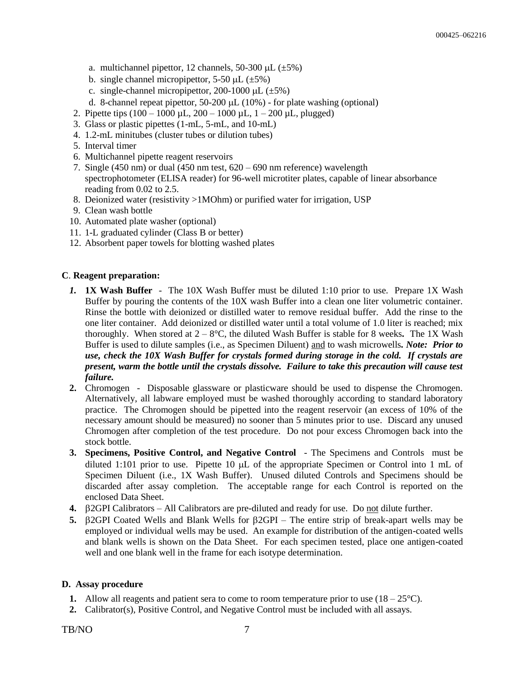- a. multichannel pipettor, 12 channels, 50-300  $\mu$ L ( $\pm$ 5%)
- b. single channel micropipettor, 5-50  $\mu$ L ( $\pm$ 5%)
- c. single-channel micropipettor,  $200-1000 \mu L$  ( $\pm 5\%$ )
- d. 8-channel repeat pipettor,  $50-200 \mu L (10%)$  for plate washing (optional)
- 2. Pipette tips  $(100 1000 \mu L, 200 1000 \mu L, 1 200 \mu L,$  plugged)
- 3. Glass or plastic pipettes (1-mL, 5-mL, and 10-mL)
- 4. 1.2-mL minitubes (cluster tubes or dilution tubes)
- 5. Interval timer
- 6. Multichannel pipette reagent reservoirs
- 7. Single (450 nm) or dual (450 nm test, 620 690 nm reference) wavelength spectrophotometer (ELISA reader) for 96-well microtiter plates, capable of linear absorbance reading from 0.02 to 2.5.
- 8. Deionized water (resistivity >1MOhm) or purified water for irrigation, USP
- 9. Clean wash bottle
- 10. Automated plate washer (optional)
- 11. 1-L graduated cylinder (Class B or better)
- 12. Absorbent paper towels for blotting washed plates

#### **C**. **Reagent preparation:**

- *1.* **1X Wash Buffer** The 10X Wash Buffer must be diluted 1:10 prior to use. Prepare 1X Wash Buffer by pouring the contents of the 10X wash Buffer into a clean one liter volumetric container. Rinse the bottle with deionized or distilled water to remove residual buffer. Add the rinse to the one liter container. Add deionized or distilled water until a total volume of 1.0 liter is reached; mix thoroughly. When stored at 2 – 8°C, the diluted Wash Buffer is stable for 8 weeks*.* The 1X Wash Buffer is used to dilute samples (i.e., as Specimen Diluent) and to wash microwells*. Note: Prior to use, check the 10X Wash Buffer for crystals formed during storage in the cold. If crystals are present, warm the bottle until the crystals dissolve. Failure to take this precaution will cause test failure.*
- **2.** Chromogen Disposable glassware or plasticware should be used to dispense the Chromogen. Alternatively, all labware employed must be washed thoroughly according to standard laboratory practice. The Chromogen should be pipetted into the reagent reservoir (an excess of 10% of the necessary amount should be measured) no sooner than 5 minutes prior to use. Discard any unused Chromogen after completion of the test procedure. Do not pour excess Chromogen back into the stock bottle.
- **3. Specimens, Positive Control, and Negative Control** The Specimens and Controls must be diluted 1:101 prior to use. Pipette 10  $\mu$ L of the appropriate Specimen or Control into 1 mL of Specimen Diluent (i.e., 1X Wash Buffer). Unused diluted Controls and Specimens should be discarded after assay completion. The acceptable range for each Control is reported on the enclosed Data Sheet.
- **4.**  $\beta$ 2GPI Calibrators All Calibrators are pre-diluted and ready for use. Do not dilute further.
- **5.**  $\beta$ 2GPI Coated Wells and Blank Wells for  $\beta$ 2GPI The entire strip of break-apart wells may be employed or individual wells may be used. An example for distribution of the antigen-coated wells and blank wells is shown on the Data Sheet. For each specimen tested, place one antigen-coated well and one blank well in the frame for each isotype determination.

#### **D. Assay procedure**

- **1.** Allow all reagents and patient sera to come to room temperature prior to use  $(18-25^{\circ}C)$ .
- **2.** Calibrator(s), Positive Control, and Negative Control must be included with all assays.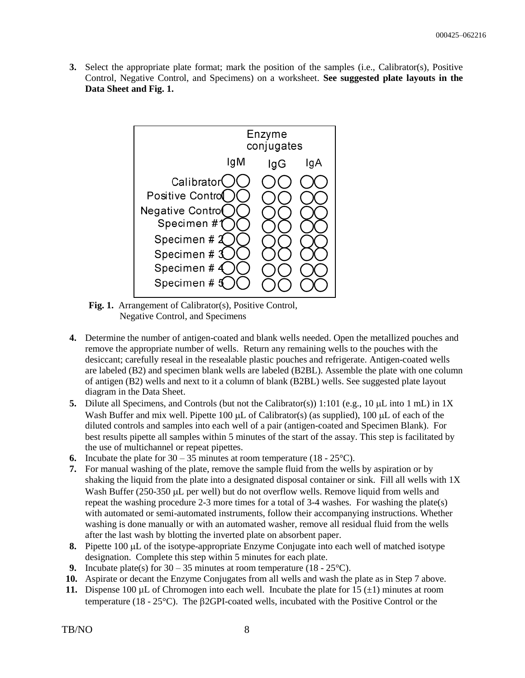**3.** Select the appropriate plate format; mark the position of the samples (i.e., Calibrator(s), Positive Control, Negative Control, and Specimens) on a worksheet. **See suggested plate layouts in the Data Sheet and Fig. 1.**



Fig. 1. Arrangement of Calibrator(s), Positive Control, Negative Control, and Specimens

- **4.** Determine the number of antigen-coated and blank wells needed. Open the metallized pouches and remove the appropriate number of wells. Return any remaining wells to the pouches with the desiccant; carefully reseal in the resealable plastic pouches and refrigerate. Antigen-coated wells are labeled (B2) and specimen blank wells are labeled (B2BL). Assemble the plate with one column of antigen (B2) wells and next to it a column of blank (B2BL) wells. See suggested plate layout diagram in the Data Sheet.
- **5.** Dilute all Specimens, and Controls (but not the Calibrator(s)) 1:101 (e.g., 10  $\mu$ L into 1 mL) in 1X Wash Buffer and mix well. Pipette 100  $\mu$ L of Calibrator(s) (as supplied), 100  $\mu$ L of each of the diluted controls and samples into each well of a pair (antigen-coated and Specimen Blank). For best results pipette all samples within 5 minutes of the start of the assay. This step is facilitated by the use of multichannel or repeat pipettes.
- **6.** Incubate the plate for  $30 35$  minutes at room temperature  $(18 25^{\circ}C)$ .
- **7.** For manual washing of the plate, remove the sample fluid from the wells by aspiration or by shaking the liquid from the plate into a designated disposal container or sink. Fill all wells with 1X Wash Buffer (250-350 µL per well) but do not overflow wells. Remove liquid from wells and repeat the washing procedure 2-3 more times for a total of 3-4 washes. For washing the plate(s) with automated or semi-automated instruments, follow their accompanying instructions. Whether washing is done manually or with an automated washer, remove all residual fluid from the wells after the last wash by blotting the inverted plate on absorbent paper.
- **8.** Pipette 100  $\mu$ L of the isotype-appropriate Enzyme Conjugate into each well of matched isotype designation. Complete this step within 5 minutes for each plate.
- **9.** Incubate plate(s) for  $30 35$  minutes at room temperature  $(18 25^{\circ}C)$ .
- **10.** Aspirate or decant the Enzyme Conjugates from all wells and wash the plate as in Step 7 above.
- **11.** Dispense 100 µL of Chromogen into each well. Incubate the plate for  $15 (\pm 1)$  minutes at room temperature (18 -  $25^{\circ}$ C). The  $\beta$ 2GPI-coated wells, incubated with the Positive Control or the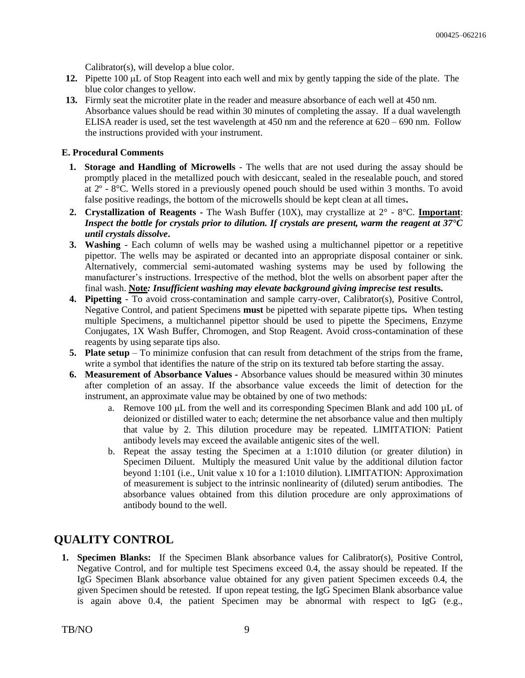Calibrator(s), will develop a blue color.

- **12.** Pipette 100 µL of Stop Reagent into each well and mix by gently tapping the side of the plate. The blue color changes to yellow.
- **13.** Firmly seat the microtiter plate in the reader and measure absorbance of each well at 450 nm. Absorbance values should be read within 30 minutes of completing the assay. If a dual wavelength ELISA reader is used, set the test wavelength at  $450 \text{ nm}$  and the reference at  $620 - 690 \text{ nm}$ . Follow the instructions provided with your instrument.

#### **E. Procedural Comments**

- **1. Storage and Handling of Microwells** The wells that are not used during the assay should be promptly placed in the metallized pouch with desiccant, sealed in the resealable pouch, and stored at 2º - 8°C. Wells stored in a previously opened pouch should be used within 3 months. To avoid false positive readings, the bottom of the microwells should be kept clean at all times**.**
- **2. Crystallization of Reagents -** The Wash Buffer (10X), may crystallize at 2° 8°C. **Important**: *Inspect the bottle for crystals prior to dilution. If crystals are present, warm the reagent at 37°C until crystals dissolve***.**
- **3. Washing** Each column of wells may be washed using a multichannel pipettor or a repetitive pipettor. The wells may be aspirated or decanted into an appropriate disposal container or sink. Alternatively, commercial semi-automated washing systems may be used by following the manufacturer's instructions. Irrespective of the method, blot the wells on absorbent paper after the final wash. **Note***: Insufficient washing may elevate background giving imprecise test* **results.**
- **4. Pipetting** To avoid cross-contamination and sample carry-over, Calibrator(s), Positive Control, Negative Control, and patient Specimens **must** be pipetted with separate pipette tips*.* When testing multiple Specimens, a multichannel pipettor should be used to pipette the Specimens, Enzyme Conjugates, 1X Wash Buffer, Chromogen, and Stop Reagent. Avoid cross-contamination of these reagents by using separate tips also.
- **5. Plate setup** To minimize confusion that can result from detachment of the strips from the frame, write a symbol that identifies the nature of the strip on its textured tab before starting the assay.
- **6. Measurement of Absorbance Values -** Absorbance values should be measured within 30 minutes after completion of an assay. If the absorbance value exceeds the limit of detection for the instrument, an approximate value may be obtained by one of two methods:
	- a. Remove 100  $\mu$ L from the well and its corresponding Specimen Blank and add 100  $\mu$ L of deionized or distilled water to each; determine the net absorbance value and then multiply that value by 2. This dilution procedure may be repeated. LIMITATION: Patient antibody levels may exceed the available antigenic sites of the well.
	- b. Repeat the assay testing the Specimen at a 1:1010 dilution (or greater dilution) in Specimen Diluent. Multiply the measured Unit value by the additional dilution factor beyond 1:101 (i.e., Unit value x 10 for a 1:1010 dilution). LIMITATION: Approximation of measurement is subject to the intrinsic nonlinearity of (diluted) serum antibodies. The absorbance values obtained from this dilution procedure are only approximations of antibody bound to the well.

## **QUALITY CONTROL**

**1. Specimen Blanks:** If the Specimen Blank absorbance values for Calibrator(s), Positive Control, Negative Control, and for multiple test Specimens exceed 0.4, the assay should be repeated. If the IgG Specimen Blank absorbance value obtained for any given patient Specimen exceeds 0.4, the given Specimen should be retested. If upon repeat testing, the IgG Specimen Blank absorbance value is again above 0.4, the patient Specimen may be abnormal with respect to IgG (e.g.,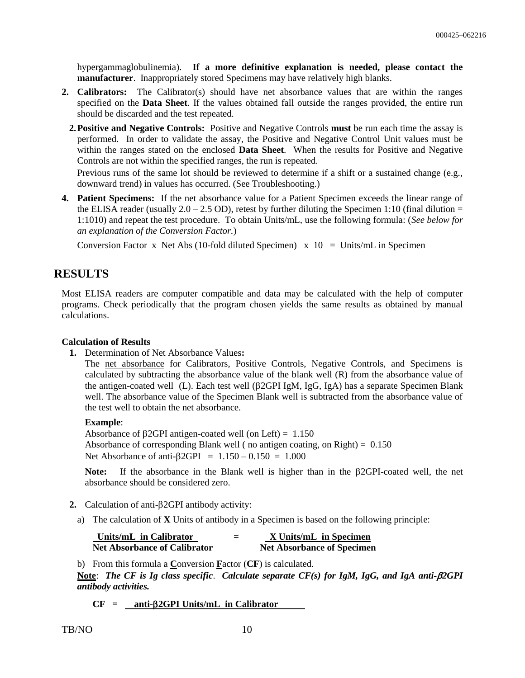hypergammaglobulinemia). **If a more definitive explanation is needed, please contact the manufacturer**. Inappropriately stored Specimens may have relatively high blanks.

- **2. Calibrators:** The Calibrator(s) should have net absorbance values that are within the ranges specified on the **Data Sheet**. If the values obtained fall outside the ranges provided, the entire run should be discarded and the test repeated.
	- **2.Positive and Negative Controls:** Positive and Negative Controls **must** be run each time the assay is performed. In order to validate the assay, the Positive and Negative Control Unit values must be within the ranges stated on the enclosed **Data Sheet**. When the results for Positive and Negative Controls are not within the specified ranges, the run is repeated.

Previous runs of the same lot should be reviewed to determine if a shift or a sustained change (e.g., downward trend) in values has occurred. (See Troubleshooting.)

**4. Patient Specimens:** If the net absorbance value for a Patient Specimen exceeds the linear range of the ELISA reader (usually  $2.0 - 2.5$  OD), retest by further diluting the Specimen 1:10 (final dilution = 1:1010) and repeat the test procedure. To obtain Units/mL, use the following formula: (*See below for an explanation of the Conversion Factor.*)

Conversion Factor x Net Abs (10-fold diluted Specimen)  $x$  10 = Units/mL in Specimen

### **RESULTS**

Most ELISA readers are computer compatible and data may be calculated with the help of computer programs. Check periodically that the program chosen yields the same results as obtained by manual calculations.

#### **Calculation of Results**

**1.** Determination of Net Absorbance Values**:**

The net absorbance for Calibrators, Positive Controls, Negative Controls, and Specimens is calculated by subtracting the absorbance value of the blank well (R) from the absorbance value of the antigen-coated well (L). Each test well ( $\beta$ 2GPI IgM, IgG, IgA) has a separate Specimen Blank well. The absorbance value of the Specimen Blank well is subtracted from the absorbance value of the test well to obtain the net absorbance.

#### **Example**:

Absorbance of  $\beta$ 2GPI antigen-coated well (on Left) = 1.150 Absorbance of corresponding Blank well (no antigen coating, on Right) =  $0.150$ Net Absorbance of anti- $\beta$ 2GPI = 1.150 – 0.150 = 1.000

Note: If the absorbance in the Blank well is higher than in the  $\beta$ 2GPI-coated well, the net absorbance should be considered zero.

- **2.** Calculation of anti- $\beta$ 2GPI antibody activity:
	- a) The calculation of **X** Units of antibody in a Specimen is based on the following principle:

| Units/mL in Calibrator              | -<br>$\overline{\phantom{0}}$ | X Units/mL in Specimen            |
|-------------------------------------|-------------------------------|-----------------------------------|
| <b>Net Absorbance of Calibrator</b> |                               | <b>Net Absorbance of Specimen</b> |

b) From this formula a **C**onversion **F**actor (**CF**) is calculated.

**Note**: *The CF is Ig class specific*. *Calculate separate CF(s) for IgM, IgG, and IgA anti-2GPI antibody activities.*

**CF = anti-2GPI Units/mL in Calibrator**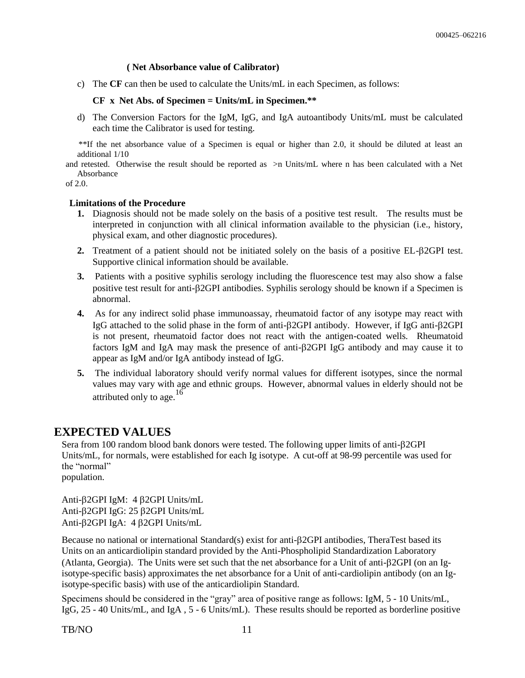#### **( Net Absorbance value of Calibrator)**

c) The **CF** can then be used to calculate the Units/mL in each Specimen, as follows:

#### **CF x Net Abs. of Specimen = Units/mL in Specimen.\*\***

d) The Conversion Factors for the IgM, IgG, and IgA autoantibody Units/mL must be calculated each time the Calibrator is used for testing.

 \*\*If the net absorbance value of a Specimen is equal or higher than 2.0, it should be diluted at least an additional 1/10

and retested. Otherwise the result should be reported as >n Units/mL where n has been calculated with a Net Absorbance

of 2.0.

#### **Limitations of the Procedure**

- **1.** Diagnosis should not be made solely on the basis of a positive test result. The results must be interpreted in conjunction with all clinical information available to the physician (i.e., history, physical exam, and other diagnostic procedures).
- **2.** Treatment of a patient should not be initiated solely on the basis of a positive EL- $\beta$ 2GPI test. Supportive clinical information should be available.
- **3.** Patients with a positive syphilis serology including the fluorescence test may also show a false positive test result for anti-2GPI antibodies. Syphilis serology should be known if a Specimen is abnormal.
- **4.** As for any indirect solid phase immunoassay, rheumatoid factor of any isotype may react with IgG attached to the solid phase in the form of anti-2GPI antibody. However, if IgG anti-2GPI is not present, rheumatoid factor does not react with the antigen-coated wells. Rheumatoid factors IgM and IgA may mask the presence of anti-2GPI IgG antibody and may cause it to appear as IgM and/or IgA antibody instead of IgG.
- **5.** The individual laboratory should verify normal values for different isotypes, since the normal values may vary with age and ethnic groups. However, abnormal values in elderly should not be attributed only to age.<sup>16</sup>

### **EXPECTED VALUES**

Sera from 100 random blood bank donors were tested. The following upper limits of anti- $\beta$ 2GPI Units/mL, for normals, were established for each Ig isotype. A cut-off at 98-99 percentile was used for the "normal" population.

Anti-2GPI IgM: 4 2GPI Units/mL Anti-2GPI IgG: 25 2GPI Units/mL Anti-2GPI IgA: 4 2GPI Units/mL

Because no national or international Standard(s) exist for anti- $\beta$ 2GPI antibodies, TheraTest based its Units on an anticardiolipin standard provided by the Anti-Phospholipid Standardization Laboratory (Atlanta, Georgia). The Units were set such that the net absorbance for a Unit of anti-2GPI (on an Igisotype-specific basis) approximates the net absorbance for a Unit of anti-cardiolipin antibody (on an Igisotype-specific basis) with use of the anticardiolipin Standard.

Specimens should be considered in the "gray" area of positive range as follows: IgM, 5 - 10 Units/mL, IgG, 25 - 40 Units/mL, and IgA , 5 - 6 Units/mL). These results should be reported as borderline positive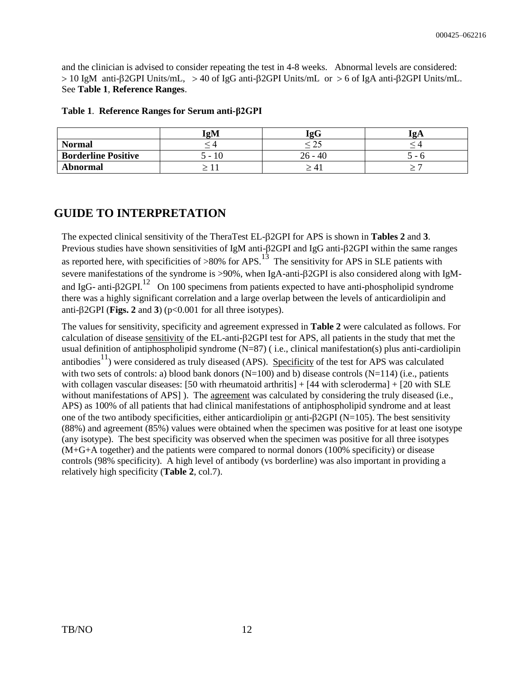and the clinician is advised to consider repeating the test in 4-8 weeks. Abnormal levels are considered:  $>$  10 IgM anti- $\beta$ 2GPI Units/mL,  $>$  40 of IgG anti- $\beta$ 2GPI Units/mL or  $>$  6 of IgA anti- $\beta$ 2GPI Units/mL. See **Table 1**, **Reference Ranges**.

|                            | IgM       | <b>IgG</b>                           | ʻΩA |
|----------------------------|-----------|--------------------------------------|-----|
| <b>Normal</b>              |           |                                      |     |
| <b>Borderline Positive</b> | 10<br>. – | 40<br>26<br>$\overline{\phantom{0}}$ | ີ - |
| <b>Abnormal</b>            |           | 4.                                   |     |

#### **Table 1**. **Reference Ranges for Serum anti-β2GPI**

## **GUIDE TO INTERPRETATION**

The expected clinical sensitivity of the TheraTest EL- $\beta$ 2GPI for APS is shown in **Tables 2** and 3. Previous studies have shown sensitivities of IgM anti- $\beta$ 2GPI and IgG anti- $\beta$ 2GPI within the same ranges as reported here, with specificities of >80% for APS.<sup>13</sup> The sensitivity for APS in SLE patients with severe manifestations of the syndrome is >90%, when IgA-anti- $\beta$ 2GPI is also considered along with IgMand IgG- anti- $\beta$ 2GPI.<sup>12</sup> On 100 specimens from patients expected to have anti-phospholipid syndrome there was a highly significant correlation and a large overlap between the levels of anticardiolipin and anti- $\beta$ 2GPI (**Figs. 2** and **3**) ( $p$ <0.001 for all three isotypes).

The values for sensitivity, specificity and agreement expressed in **Table 2** were calculated as follows. For calculation of disease sensitivity of the EL-anti-2GPI test for APS, all patients in the study that met the usual definition of antiphospholipid syndrome (N=87) ( i.e., clinical manifestation(s) plus anti-cardiolipin antibodies $^{11}$ ) were considered as truly diseased (APS). Specificity of the test for APS was calculated with two sets of controls: a) blood bank donors (N=100) and b) disease controls (N=114) (i.e., patients with collagen vascular diseases: [50 with rheumatoid arthritis]  $+$  [44 with scleroderma]  $+$  [20 with SLE without manifestations of APS] ). The agreement was calculated by considering the truly diseased (i.e., APS) as 100% of all patients that had clinical manifestations of antiphospholipid syndrome and at least one of the two antibody specificities, either anticardiolipin or anti- $\beta$ 2GPI (N=105). The best sensitivity (88%) and agreement (85%) values were obtained when the specimen was positive for at least one isotype (any isotype). The best specificity was observed when the specimen was positive for all three isotypes (M+G+A together) and the patients were compared to normal donors (100% specificity) or disease controls (98% specificity). A high level of antibody (vs borderline) was also important in providing a relatively high specificity (**Table 2**, col.7).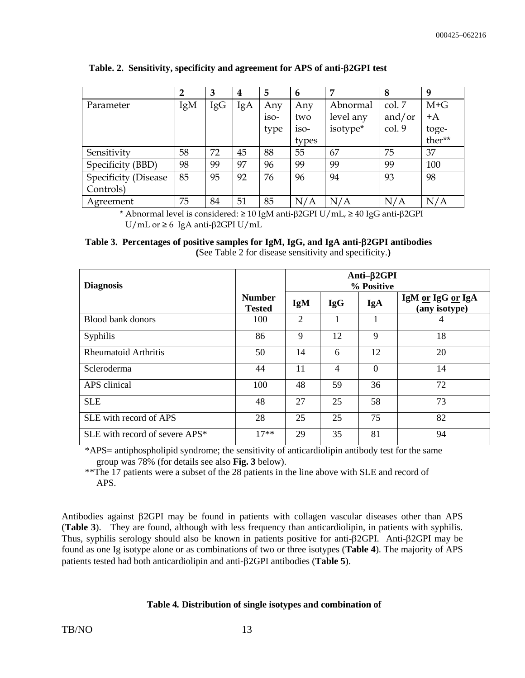|                      | 2   | 3   | 4   | 5    | 6      | 7         | 8      | 9       |
|----------------------|-----|-----|-----|------|--------|-----------|--------|---------|
| Parameter            | IgM | IgG | IgA | Any  | Any    | Abnormal  | col. 7 | $M + G$ |
|                      |     |     |     | iso- | two    | level any | and/or | $+A$    |
|                      |     |     |     | type | $1SO-$ | isotype*  | col. 9 | toge-   |
|                      |     |     |     |      | types  |           |        | ther**  |
| Sensitivity          | 58  | 72  | 45  | 88   | 55     | 67        | 75     | 37      |
| Specificity (BBD)    | 98  | 99  | 97  | 96   | 99     | 99        | 99     | 100     |
| Specificity (Disease | 85  | 95  | 92  | 76   | 96     | 94        | 93     | 98      |
| Controls)            |     |     |     |      |        |           |        |         |
| Agreement            | 75  | 84  | 51  | 85   | N/A    | N/A       | N/A    | N/A     |

**Table. 2. Sensitivity, specificity and agreement for APS of anti-2GPI test**

\* Abnormal level is considered:  $\geq 10$  IgM anti- $\beta$ 2GPI U/mL,  $\geq 40$  IgG anti- $\beta$ 2GPI U/mL or ≥ 6 IgA anti- $\beta$ 2GPI U/mL

## Table 3. Percentages of positive samples for IgM, IgG, and IgA anti-**B2GPI antibodies**

| <b>Diagnosis</b>               | Anti-β2GPI<br>% Positive       |                |            |          |                                    |
|--------------------------------|--------------------------------|----------------|------------|----------|------------------------------------|
|                                | <b>Number</b><br><b>Tested</b> | <b>IgM</b>     | <b>IgG</b> | IgA      | IgM or IgG or IgA<br>(any isotype) |
| Blood bank donors              | 100                            | $\overline{2}$ |            | 1        | 4                                  |
| Syphilis                       | 86                             | 9              | 12         | 9        | 18                                 |
| <b>Rheumatoid Arthritis</b>    | 50                             | 14             | 6          | 12       | 20                                 |
| Scleroderma                    | 44                             | 11             | 4          | $\theta$ | 14                                 |
| APS clinical                   | 100                            | 48             | 59         | 36       | 72                                 |
| <b>SLE</b>                     | 48                             | 27             | 25         | 58       | 73                                 |
| SLE with record of APS         | 28                             | 25             | 25         | 75       | 82                                 |
| SLE with record of severe APS* | $17**$                         | 29             | 35         | 81       | 94                                 |

**(**See Table 2 for disease sensitivity and specificity.**)**

\*APS= antiphospholipid syndrome; the sensitivity of anticardiolipin antibody test for the same group was 78% (for details see also **Fig. 3** below).

\*\*The 17 patients were a subset of the 28 patients in the line above with SLE and record of APS.

Antibodies against  $\beta$ 2GPI may be found in patients with collagen vascular diseases other than APS (**Table 3**). They are found, although with less frequency than anticardiolipin, in patients with syphilis. Thus, syphilis serology should also be known in patients positive for anti- $\beta$ 2GPI. Anti- $\beta$ 2GPI may be found as one Ig isotype alone or as combinations of two or three isotypes (**Table 4**). The majority of APS patients tested had both anticardiolipin and anti-2GPI antibodies (**Table 5**).

#### **Table 4***.* **Distribution of single isotypes and combination of**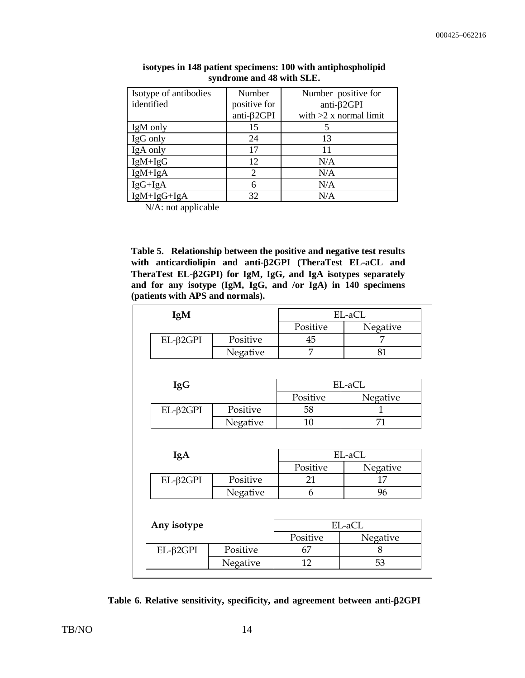| Isotype of antibodies | Number       | Number positive for      |
|-----------------------|--------------|--------------------------|
| identified            | positive for | anti- $\beta$ 2GPI       |
|                       | anti-β2GPI   | with $>2$ x normal limit |
| IgM only              | 15           |                          |
| IgG only              | 24           | 13                       |
| IgA only              | 17           | 11                       |
| $IgM+IgG$             | 12           | N/A                      |
| $IgM+IgA$             | 2            | N/A                      |
| $IgG+IgA$             | 6            | N/A                      |
| $IgM+IgG+IgA$         | 32           | N/A                      |

**isotypes in 148 patient specimens: 100 with antiphospholipid syndrome and 48 with SLE.**

N/A: not applicable

**Table 5. Relationship between the positive and negative test results with anticardiolipin and anti-2GPI (TheraTest EL-aCL and TheraTest EL-2GPI) for IgM, IgG, and IgA isotypes separately and for any isotype (IgM, IgG, and /or IgA) in 140 specimens (patients with APS and normals).**

| IgM                 |          | EL-aCL   |          |  |  |
|---------------------|----------|----------|----------|--|--|
|                     |          | Positive | Negative |  |  |
| $EL$ - $\beta$ 2GPI | Positive |          | 7        |  |  |
|                     | Negative | 7        | 81       |  |  |
|                     |          |          |          |  |  |
| <b>IgG</b>          |          | EL-aCL   |          |  |  |
|                     |          | Positive | Negative |  |  |
| $EL$ - $\beta$ 2GPI | Positive | 58       | 1        |  |  |
|                     | Negative | 10       | 71       |  |  |
|                     |          |          |          |  |  |
| IgA                 |          |          | EL-aCL   |  |  |
|                     |          | Positive | Negative |  |  |
| $EL$ - $\beta$ 2GPI | Positive | 21       | 17       |  |  |
|                     | Negative | 6        | 96       |  |  |
|                     |          |          |          |  |  |
| Any isotype         |          |          | EL-aCL   |  |  |
|                     |          | Positive | Negative |  |  |
| $EL$ - $\beta$ 2GPI | Positive | 67       | 8        |  |  |

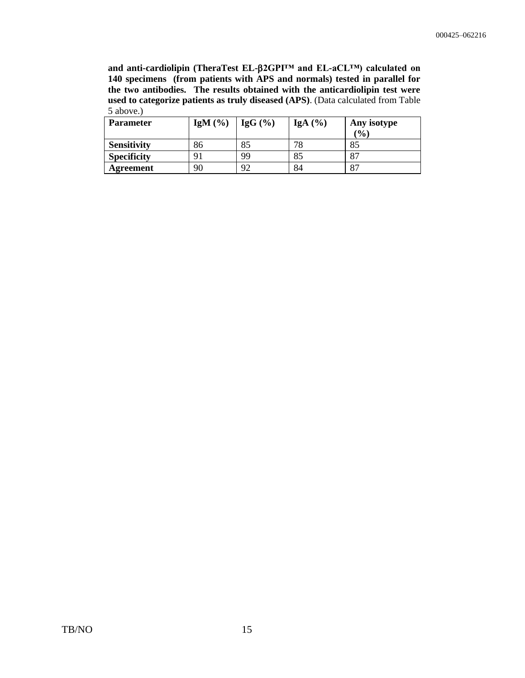**and anti-cardiolipin (TheraTest EL-2GPI™ and EL-aCL™) calculated on 140 specimens (from patients with APS and normals) tested in parallel for the two antibodies. The results obtained with the anticardiolipin test were used to categorize patients as truly diseased (APS)**. (Data calculated from Table 5 above.)

| <b>Parameter</b>   | IgM $(\% )$ | $\vert$ IgG $(\% )$ | IgA $(%)$ | Any isotype |
|--------------------|-------------|---------------------|-----------|-------------|
|                    |             |                     |           | (9/0)       |
| <b>Sensitivity</b> | 86          | 85                  | 78        | 85          |
| <b>Specificity</b> | 91          | 99                  | 85        | 87          |
| Agreement          | 90          | 92                  | 84        | 87          |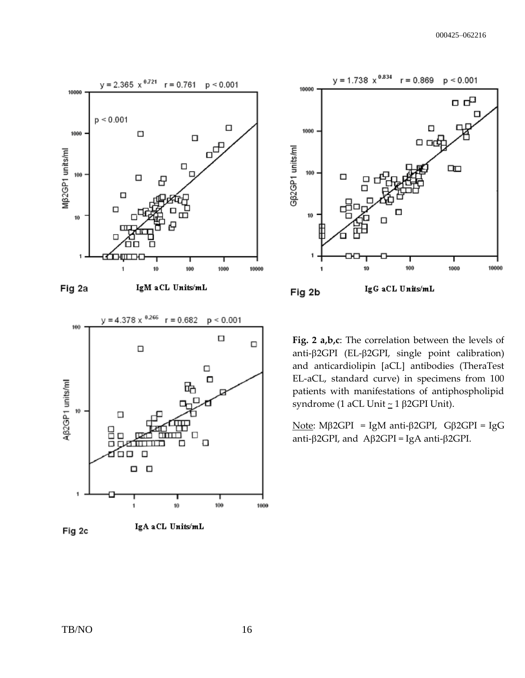



Fig 2c



**Fig. 2 a,b,c**: The correlation between the levels of anti- $\beta$ 2GPI (EL- $\beta$ 2GPI, single point calibration) and anticardiolipin [aCL] antibodies (TheraTest EL-aCL, standard curve) in specimens from 100 patients with manifestations of antiphospholipid syndrome (1 aCL Unit  $\simeq$  1  $\beta$ 2GPI Unit).

Note: Mβ2GPI = IgM anti-β2GPI, Gβ2GPI = IgG anti- $\beta$ 2GPI, and A $\beta$ 2GPI = IgA anti- $\beta$ 2GPI.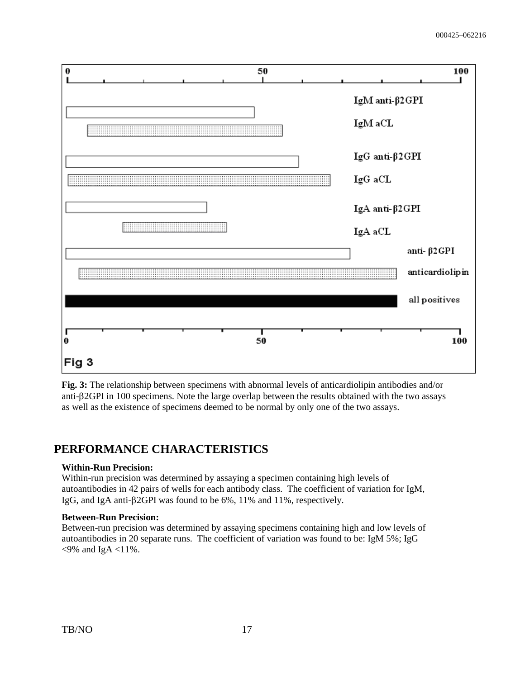

**Fig. 3:** The relationship between specimens with abnormal levels of anticardiolipin antibodies and/or anti- $\beta$ 2GPI in 100 specimens. Note the large overlap between the results obtained with the two assays as well as the existence of specimens deemed to be normal by only one of the two assays.

## **PERFORMANCE CHARACTERISTICS**

#### **Within-Run Precision:**

Within-run precision was determined by assaying a specimen containing high levels of autoantibodies in 42 pairs of wells for each antibody class. The coefficient of variation for IgM, IgG, and IgA anti- $\beta$ 2GPI was found to be 6%, 11% and 11%, respectively.

#### **Between-Run Precision:**

Between-run precision was determined by assaying specimens containing high and low levels of autoantibodies in 20 separate runs. The coefficient of variation was found to be: IgM 5%; IgG  $<9\%$  and IgA  $<11\%$ .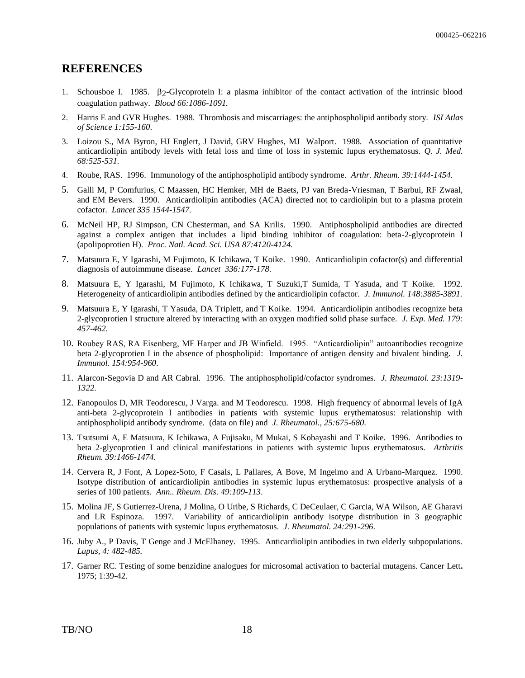#### **REFERENCES**

- 1. Schousboe I. 1985.  $\beta$ 2-Glycoprotein I: a plasma inhibitor of the contact activation of the intrinsic blood coagulation pathway. *Blood 66:1086-1091.*
- 2. Harris E and GVR Hughes. 1988. Thrombosis and miscarriages: the antiphospholipid antibody story. *ISI Atlas of Science 1:155-160*.
- 3. Loizou S., MA Byron, HJ Englert, J David, GRV Hughes, MJ Walport. 1988. Association of quantitative anticardiolipin antibody levels with fetal loss and time of loss in systemic lupus erythematosus. *Q. J. Med. 68:525-531.*
- 4. Roube, RAS. 1996. Immunology of the antiphospholipid antibody syndrome*. Arthr. Rheum. 39:1444-1454.*
- 5. Galli M, P Comfurius, C Maassen, HC Hemker, MH de Baets, PJ van Breda-Vriesman, T Barbui, RF Zwaal, and EM Bevers. 1990. Anticardiolipin antibodies (ACA) directed not to cardiolipin but to a plasma protein cofactor. *Lancet 335 1544-1547.*
- 6. McNeil HP, RJ Simpson, CN Chesterman, and SA Krilis. 1990. Antiphospholipid antibodies are directed against a complex antigen that includes a lipid binding inhibitor of coagulation: beta-2-glycoprotein I (apolipoprotien H). *Proc. Natl. Acad. Sci. USA 87:4120-4124.*
- 7. Matsuura E, Y Igarashi, M Fujimoto, K Ichikawa, T Koike. 1990. Anticardiolipin cofactor(s) and differential diagnosis of autoimmune disease. *Lancet 336:177-178*.
- 8. Matsuura E, Y Igarashi, M Fujimoto, K Ichikawa, T Suzuki,T Sumida, T Yasuda, and T Koike. 1992. Heterogeneity of anticardiolipin antibodies defined by the anticardiolipin cofactor. *J. Immunol. 148:3885-3891.*
- 9. Matsuura E, Y Igarashi, T Yasuda, DA Triplett, and T Koike. 1994. Anticardiolipin antibodies recognize beta 2-glycoprotien I structure altered by interacting with an oxygen modified solid phase surface. *J. Exp. Med. 179: 457-462.*
- 10. Roubey RAS, RA Eisenberg, MF Harper and JB Winfield. 1995. "Anticardiolipin" autoantibodies recognize beta 2-glycoprotien I in the absence of phospholipid: Importance of antigen density and bivalent binding. *J. Immunol. 154:954-960*.
- 11. Alarcon-Segovia D and AR Cabral. 1996. The antiphospholipid/cofactor syndromes. *J. Rheumatol. 23:1319- 1322.*
- 12. Fanopoulos D, MR Teodorescu, J Varga. and M Teodorescu. 1998. High frequency of abnormal levels of IgA anti-beta 2-glycoprotein I antibodies in patients with systemic lupus erythematosus: relationship with antiphospholipid antibody syndrome. (data on file) and *J. Rheumatol., 25:675-680*.
- 13. Tsutsumi A, E Matsuura, K Ichikawa, A Fujisaku, M Mukai, S Kobayashi and T Koike. 1996. Antibodies to beta 2-glycoprotien I and clinical manifestations in patients with systemic lupus erythematosus. *Arthritis Rheum. 39:1466-1474.*
- 14. Cervera R, J Font, A Lopez-Soto, F Casals, L Pallares, A Bove, M Ingelmo and A Urbano-Marquez. 1990. Isotype distribution of anticardiolipin antibodies in systemic lupus erythematosus: prospective analysis of a series of 100 patients. *Ann.. Rheum. Dis. 49:109-113*.
- 15. Molina JF, S Gutierrez-Urena, J Molina, O Uribe, S Richards, C DeCeulaer, C Garcia, WA Wilson, AE Gharavi and LR Espinoza. 1997. Variability of anticardiolipin antibody isotype distribution in 3 geographic populations of patients with systemic lupus erythematosus. *J. Rheumatol. 24:291-296*.
- 16. Juby A., P Davis, T Genge and J McElhaney. 1995. Anticardiolipin antibodies in two elderly subpopulations. *Lupus, 4: 482-485.*
- 17. Garner RC. Testing of some benzidine analogues for microsomal activation to bacterial mutagens. Cancer Lett**.**  1975; 1:39-42.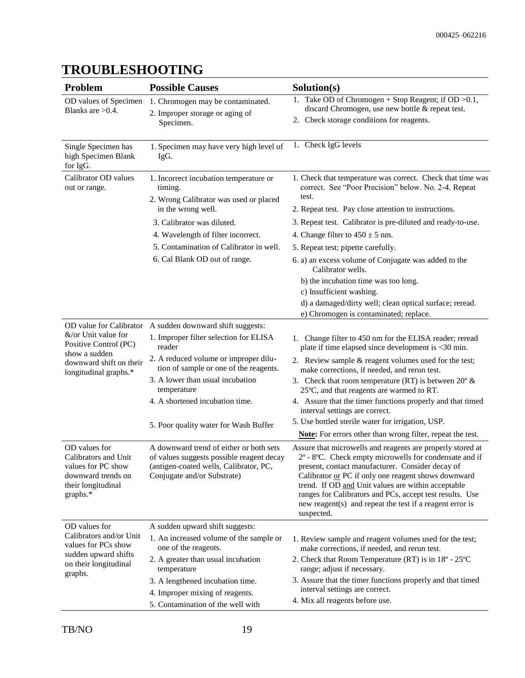#### **Problem Possible Causes Solution(s)** OD values of Specimen Blanks are >0.4. 1. Chromogen may be contaminated. 2. Improper storage or aging of Specimen. 1. Take OD of Chromogen + Stop Reagent; if OD >0.1, discard Chromogen, use new bottle & repeat test. 2. Check storage conditions for reagents. Single Specimen has high Specimen Blank for IgG. 1. Specimen may have very high level of IgG. 1. Check IgG levels Calibrator OD values out or range. 1. Incorrect incubation temperature or timing. 2. Wrong Calibrator was used or placed in the wrong well. 1. Check that temperature was correct. Check that time was correct. See "Poor Precision" below. No. 2-4. Repeat test. 2. Repeat test. Pay close attention to instructions. 3. Calibrator was diluted. 4. Wavelength of filter incorrect. 5. Contamination of Calibrator in well. 6. Cal Blank OD out of range. 3. Repeat test. Calibrator is pre-diluted and ready-to-use. 4. Change filter to  $450 \pm 5$  nm. 5. Repeat test; pipette carefully. 6. a) an excess volume of Conjugate was added to the Calibrator wells. b) the incubation time was too long. c) Insufficient washing. d) a damaged/dirty well; clean optical surface; reread. e) Chromogen is contaminated; replace. OD value for Calibrator &/or Unit value for Positive Control (PC) show a sudden downward shift on their longitudinal graphs.\* A sudden downward shift suggests: 1. Improper filter selection for ELISA reader 2. A reduced volume or improper dilution of sample or one of the reagents. 3. A lower than usual incubation temperature 4. A shortened incubation time. 5. Poor quality water for Wash Buffer 1. Change filter to 450 nm for the ELISA reader; reread plate if time elapsed since development is <30 min. 2. Review sample & reagent volumes used for the test; make corrections, if needed, and rerun test. 3. Check that room temperature (RT) is between  $20^{\circ}$  & 25ºC, and that reagents are warmed to RT. 4. Assure that the timer functions properly and that timed interval settings are correct. 5. Use bottled sterile water for irrigation, USP. **Note:** For errors other than wrong filter, repeat the test. OD values for Calibrators and Unit values for PC show downward trends on their longitudinal graphs.\* A downward trend of either or both sets of values suggests possible reagent decay (antigen-coated wells, Calibrator, PC, Conjugate and/or Substrate) Assure that microwells and reagents are properly stored at 2º - 8ºC. Check empty microwells for condensate and if present, contact manufacturer. Consider decay of Calibrator or PC if only one reagent shows downward trend. If OD and Unit values are within acceptable ranges for Calibrators and PCs, accept test results. Use new reagent(s) and repeat the test if a reagent error is suspected. OD values for Calibrators and/or Unit values for PCs show sudden upward shifts on their longitudinal graphs. A sudden upward shift suggests: 1. An increased volume of the sample or one of the reagents. 2. A greater than usual incubation temperature 3. A lengthened incubation time. 4. Improper mixing of reagents. 5. Contamination of the well with 1. Review sample and reagent volumes used for the test; make corrections, if needed, and rerun test. 2. Check that Room Temperature (RT) is in 18º - 25ºC range; adjust if necessary. 3. Assure that the timer functions properly and that timed interval settings are correct. 4. Mix all reagents before use.

## **TROUBLESHOOTING**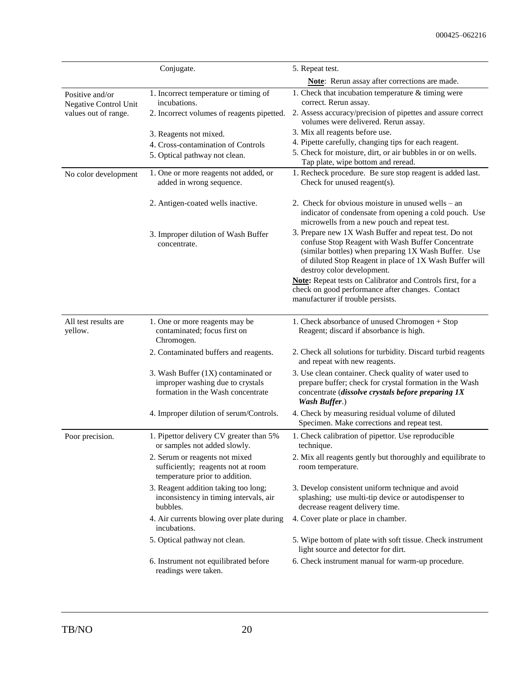|                                          | Conjugate.                                                                                                   | 5. Repeat test.                                                                                                                                                                                                                                             |
|------------------------------------------|--------------------------------------------------------------------------------------------------------------|-------------------------------------------------------------------------------------------------------------------------------------------------------------------------------------------------------------------------------------------------------------|
|                                          |                                                                                                              | Note: Rerun assay after corrections are made.                                                                                                                                                                                                               |
| Positive and/or<br>Negative Control Unit | 1. Incorrect temperature or timing of<br>incubations.                                                        | 1. Check that incubation temperature $&$ timing were<br>correct. Rerun assay.                                                                                                                                                                               |
| values out of range.                     | 2. Incorrect volumes of reagents pipetted.                                                                   | 2. Assess accuracy/precision of pipettes and assure correct<br>volumes were delivered. Rerun assay.                                                                                                                                                         |
|                                          | 3. Reagents not mixed.                                                                                       | 3. Mix all reagents before use.                                                                                                                                                                                                                             |
|                                          | 4. Cross-contamination of Controls                                                                           | 4. Pipette carefully, changing tips for each reagent.                                                                                                                                                                                                       |
|                                          | 5. Optical pathway not clean.                                                                                | 5. Check for moisture, dirt, or air bubbles in or on wells.<br>Tap plate, wipe bottom and reread.                                                                                                                                                           |
| No color development                     | 1. One or more reagents not added, or<br>added in wrong sequence.                                            | 1. Recheck procedure. Be sure stop reagent is added last.<br>Check for unused reagent(s).                                                                                                                                                                   |
|                                          | 2. Antigen-coated wells inactive.                                                                            | 2. Check for obvious moisture in unused wells – an<br>indicator of condensate from opening a cold pouch. Use<br>microwells from a new pouch and repeat test.                                                                                                |
|                                          | 3. Improper dilution of Wash Buffer<br>concentrate.                                                          | 3. Prepare new 1X Wash Buffer and repeat test. Do not<br>confuse Stop Reagent with Wash Buffer Concentrate<br>(similar bottles) when preparing 1X Wash Buffer. Use<br>of diluted Stop Reagent in place of 1X Wash Buffer will<br>destroy color development. |
|                                          |                                                                                                              | Note: Repeat tests on Calibrator and Controls first, for a<br>check on good performance after changes. Contact<br>manufacturer if trouble persists.                                                                                                         |
| All test results are<br>yellow.          | 1. One or more reagents may be<br>contaminated; focus first on<br>Chromogen.                                 | 1. Check absorbance of unused Chromogen + Stop<br>Reagent; discard if absorbance is high.                                                                                                                                                                   |
|                                          | 2. Contaminated buffers and reagents.                                                                        | 2. Check all solutions for turbidity. Discard turbid reagents<br>and repeat with new reagents.                                                                                                                                                              |
|                                          | 3. Wash Buffer (1X) contaminated or<br>improper washing due to crystals<br>formation in the Wash concentrate | 3. Use clean container. Check quality of water used to<br>prepare buffer; check for crystal formation in the Wash<br>concentrate (dissolve crystals before preparing 1X<br><b>Wash Buffer.)</b>                                                             |
|                                          | 4. Improper dilution of serum/Controls.                                                                      | 4. Check by measuring residual volume of diluted<br>Specimen. Make corrections and repeat test.                                                                                                                                                             |
| Poor precision.                          | 1. Pipettor delivery CV greater than 5%<br>or samples not added slowly.                                      | 1. Check calibration of pipettor. Use reproducible<br>technique.                                                                                                                                                                                            |
|                                          | 2. Serum or reagents not mixed<br>sufficiently; reagents not at room<br>temperature prior to addition.       | 2. Mix all reagents gently but thoroughly and equilibrate to<br>room temperature.                                                                                                                                                                           |
|                                          | 3. Reagent addition taking too long;<br>inconsistency in timing intervals, air<br>bubbles.                   | 3. Develop consistent uniform technique and avoid<br>splashing; use multi-tip device or autodispenser to<br>decrease reagent delivery time.                                                                                                                 |
|                                          | 4. Air currents blowing over plate during<br>incubations.                                                    | 4. Cover plate or place in chamber.                                                                                                                                                                                                                         |
|                                          | 5. Optical pathway not clean.                                                                                | 5. Wipe bottom of plate with soft tissue. Check instrument<br>light source and detector for dirt.                                                                                                                                                           |
|                                          | 6. Instrument not equilibrated before<br>readings were taken.                                                | 6. Check instrument manual for warm-up procedure.                                                                                                                                                                                                           |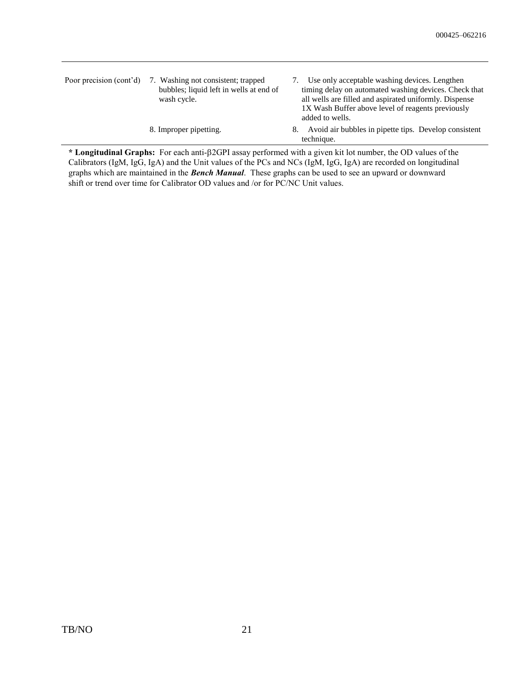| Poor precision (cont'd) | 7. Washing not consistent; trapped<br>bubbles; liquid left in wells at end of<br>wash cycle. | Use only acceptable washing devices. Lengthen<br>timing delay on automated washing devices. Check that<br>all wells are filled and aspirated uniformly. Dispense<br>1X Wash Buffer above level of reagents previously<br>added to wells. |
|-------------------------|----------------------------------------------------------------------------------------------|------------------------------------------------------------------------------------------------------------------------------------------------------------------------------------------------------------------------------------------|
|                         | 8. Improper pipetting.                                                                       | Avoid air bubbles in pipette tips. Develop consistent<br>8.<br>technique.                                                                                                                                                                |

**\* Longitudinal Graphs:** For each anti-2GPI assay performed with a given kit lot number, the OD values of the Calibrators (IgM, IgG, IgA) and the Unit values of the PCs and NCs (IgM, IgG, IgA) are recorded on longitudinal graphs which are maintained in the *Bench Manual*. These graphs can be used to see an upward or downward shift or trend over time for Calibrator OD values and /or for PC/NC Unit values.